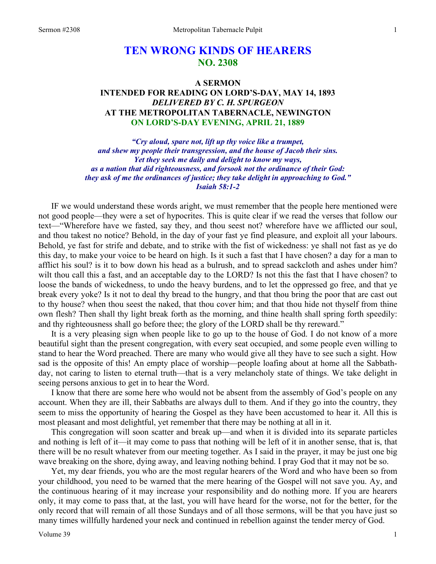# **TEN WRONG KINDS OF HEARERS NO. 2308**

## **A SERMON INTENDED FOR READING ON LORD'S-DAY, MAY 14, 1893**  *DELIVERED BY C. H. SPURGEON*  **AT THE METROPOLITAN TABERNACLE, NEWINGTON ON LORD'S-DAY EVENING, APRIL 21, 1889**

*"Cry aloud, spare not, lift up thy voice like a trumpet, and shew my people their transgression, and the house of Jacob their sins. Yet they seek me daily and delight to know my ways, as a nation that did righteousness, and forsook not the ordinance of their God: they ask of me the ordinances of justice; they take delight in approaching to God." Isaiah 58:1-2* 

IF we would understand these words aright, we must remember that the people here mentioned were not good people—they were a set of hypocrites. This is quite clear if we read the verses that follow our text—"Wherefore have we fasted, say they, and thou seest not? wherefore have we afflicted our soul, and thou takest no notice? Behold, in the day of your fast ye find pleasure, and exploit all your labours. Behold, ye fast for strife and debate, and to strike with the fist of wickedness: ye shall not fast as ye do this day, to make your voice to be heard on high. Is it such a fast that I have chosen? a day for a man to afflict his soul? is it to bow down his head as a bulrush, and to spread sackcloth and ashes under him? wilt thou call this a fast, and an acceptable day to the LORD? Is not this the fast that I have chosen? to loose the bands of wickedness, to undo the heavy burdens, and to let the oppressed go free, and that ye break every yoke? Is it not to deal thy bread to the hungry, and that thou bring the poor that are cast out to thy house? when thou seest the naked, that thou cover him; and that thou hide not thyself from thine own flesh? Then shall thy light break forth as the morning, and thine health shall spring forth speedily: and thy righteousness shall go before thee; the glory of the LORD shall be thy rereward."

It is a very pleasing sign when people like to go up to the house of God. I do not know of a more beautiful sight than the present congregation, with every seat occupied, and some people even willing to stand to hear the Word preached. There are many who would give all they have to see such a sight. How sad is the opposite of this! An empty place of worship—people loafing about at home all the Sabbathday, not caring to listen to eternal truth—that is a very melancholy state of things. We take delight in seeing persons anxious to get in to hear the Word.

I know that there are some here who would not be absent from the assembly of God's people on any account. When they are ill, their Sabbaths are always dull to them. And if they go into the country, they seem to miss the opportunity of hearing the Gospel as they have been accustomed to hear it. All this is most pleasant and most delightful, yet remember that there may be nothing at all in it.

This congregation will soon scatter and break up—and when it is divided into its separate particles and nothing is left of it—it may come to pass that nothing will be left of it in another sense, that is, that there will be no result whatever from our meeting together. As I said in the prayer, it may be just one big wave breaking on the shore, dying away, and leaving nothing behind. I pray God that it may not be so.

Yet, my dear friends, you who are the most regular hearers of the Word and who have been so from your childhood, you need to be warned that the mere hearing of the Gospel will not save you. Ay, and the continuous hearing of it may increase your responsibility and do nothing more. If you are hearers only, it may come to pass that, at the last, you will have heard for the worse, not for the better, for the only record that will remain of all those Sundays and of all those sermons, will be that you have just so many times willfully hardened your neck and continued in rebellion against the tender mercy of God.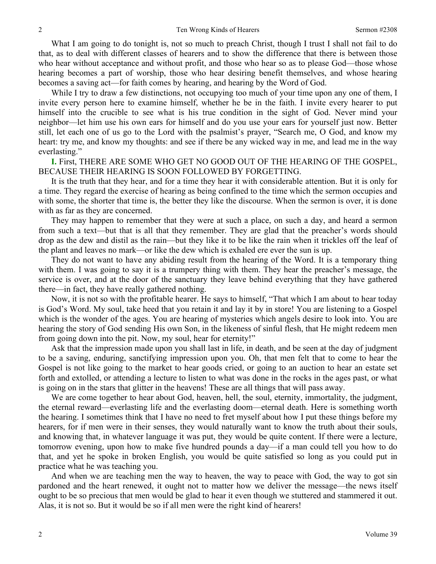What I am going to do tonight is, not so much to preach Christ, though I trust I shall not fail to do that, as to deal with different classes of hearers and to show the difference that there is between those who hear without acceptance and without profit, and those who hear so as to please God—those whose hearing becomes a part of worship, those who hear desiring benefit themselves, and whose hearing becomes a saving act—for faith comes by hearing, and hearing by the Word of God.

While I try to draw a few distinctions, not occupying too much of your time upon any one of them, I invite every person here to examine himself, whether he be in the faith. I invite every hearer to put himself into the crucible to see what is his true condition in the sight of God. Never mind your neighbor—let him use his own ears for himself and do you use your ears for yourself just now. Better still, let each one of us go to the Lord with the psalmist's prayer, "Search me, O God, and know my heart: try me, and know my thoughts: and see if there be any wicked way in me, and lead me in the way everlasting."

**I.** First, THERE ARE SOME WHO GET NO GOOD OUT OF THE HEARING OF THE GOSPEL, BECAUSE THEIR HEARING IS SOON FOLLOWED BY FORGETTING.

It is the truth that they hear, and for a time they hear it with considerable attention. But it is only for a time. They regard the exercise of hearing as being confined to the time which the sermon occupies and with some, the shorter that time is, the better they like the discourse. When the sermon is over, it is done with as far as they are concerned.

They may happen to remember that they were at such a place, on such a day, and heard a sermon from such a text—but that is all that they remember. They are glad that the preacher's words should drop as the dew and distil as the rain—but they like it to be like the rain when it trickles off the leaf of the plant and leaves no mark—or like the dew which is exhaled ere ever the sun is up.

They do not want to have any abiding result from the hearing of the Word. It is a temporary thing with them. I was going to say it is a trumpery thing with them. They hear the preacher's message, the service is over, and at the door of the sanctuary they leave behind everything that they have gathered there—in fact, they have really gathered nothing.

Now, it is not so with the profitable hearer. He says to himself, "That which I am about to hear today is God's Word. My soul, take heed that you retain it and lay it by in store! You are listening to a Gospel which is the wonder of the ages. You are hearing of mysteries which angels desire to look into. You are hearing the story of God sending His own Son, in the likeness of sinful flesh, that He might redeem men from going down into the pit. Now, my soul, hear for eternity!"

Ask that the impression made upon you shall last in life, in death, and be seen at the day of judgment to be a saving, enduring, sanctifying impression upon you. Oh, that men felt that to come to hear the Gospel is not like going to the market to hear goods cried, or going to an auction to hear an estate set forth and extolled, or attending a lecture to listen to what was done in the rocks in the ages past, or what is going on in the stars that glitter in the heavens! These are all things that will pass away.

We are come together to hear about God, heaven, hell, the soul, eternity, immortality, the judgment, the eternal reward—everlasting life and the everlasting doom—eternal death. Here is something worth the hearing. I sometimes think that I have no need to fret myself about how I put these things before my hearers, for if men were in their senses, they would naturally want to know the truth about their souls, and knowing that, in whatever language it was put, they would be quite content. If there were a lecture, tomorrow evening, upon how to make five hundred pounds a day—if a man could tell you how to do that, and yet he spoke in broken English, you would be quite satisfied so long as you could put in practice what he was teaching you.

And when we are teaching men the way to heaven, the way to peace with God, the way to got sin pardoned and the heart renewed, it ought not to matter how we deliver the message—the news itself ought to be so precious that men would be glad to hear it even though we stuttered and stammered it out. Alas, it is not so. But it would be so if all men were the right kind of hearers!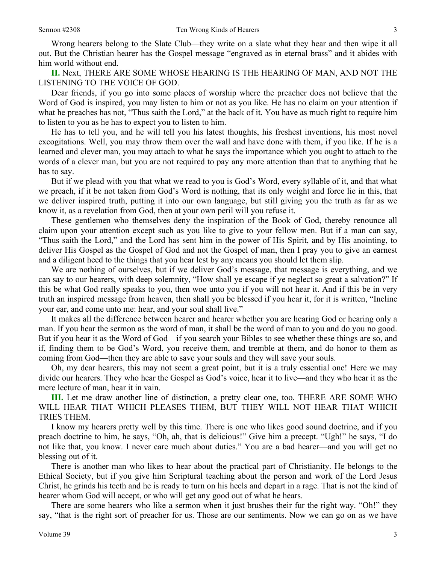Wrong hearers belong to the Slate Club—they write on a slate what they hear and then wipe it all out. But the Christian hearer has the Gospel message "engraved as in eternal brass" and it abides with him world without end.

**II.** Next, THERE ARE SOME WHOSE HEARING IS THE HEARING OF MAN, AND NOT THE LISTENING TO THE VOICE OF GOD.

Dear friends, if you go into some places of worship where the preacher does not believe that the Word of God is inspired, you may listen to him or not as you like. He has no claim on your attention if what he preaches has not, "Thus saith the Lord," at the back of it. You have as much right to require him to listen to you as he has to expect you to listen to him.

He has to tell you, and he will tell you his latest thoughts, his freshest inventions, his most novel excogitations. Well, you may throw them over the wall and have done with them, if you like. If he is a learned and clever man, you may attach to what he says the importance which you ought to attach to the words of a clever man, but you are not required to pay any more attention than that to anything that he has to say.

But if we plead with you that what we read to you is God's Word, every syllable of it, and that what we preach, if it be not taken from God's Word is nothing, that its only weight and force lie in this, that we deliver inspired truth, putting it into our own language, but still giving you the truth as far as we know it, as a revelation from God, then at your own peril will you refuse it.

These gentlemen who themselves deny the inspiration of the Book of God, thereby renounce all claim upon your attention except such as you like to give to your fellow men. But if a man can say, "Thus saith the Lord," and the Lord has sent him in the power of His Spirit, and by His anointing, to deliver His Gospel as the Gospel of God and not the Gospel of man, then I pray you to give an earnest and a diligent heed to the things that you hear lest by any means you should let them slip.

We are nothing of ourselves, but if we deliver God's message, that message is everything, and we can say to our hearers, with deep solemnity, "How shall ye escape if ye neglect so great a salvation?" If this be what God really speaks to you, then woe unto you if you will not hear it. And if this be in very truth an inspired message from heaven, then shall you be blessed if you hear it, for it is written, "Incline your ear, and come unto me: hear, and your soul shall live."

It makes all the difference between hearer and hearer whether you are hearing God or hearing only a man. If you hear the sermon as the word of man, it shall be the word of man to you and do you no good. But if you hear it as the Word of God—if you search your Bibles to see whether these things are so, and if, finding them to be God's Word, you receive them, and tremble at them, and do honor to them as coming from God—then they are able to save your souls and they will save your souls.

Oh, my dear hearers, this may not seem a great point, but it is a truly essential one! Here we may divide our hearers. They who hear the Gospel as God's voice, hear it to live—and they who hear it as the mere lecture of man, hear it in vain.

**III.** Let me draw another line of distinction, a pretty clear one, too. THERE ARE SOME WHO WILL HEAR THAT WHICH PLEASES THEM, BUT THEY WILL NOT HEAR THAT WHICH TRIES THEM.

I know my hearers pretty well by this time. There is one who likes good sound doctrine, and if you preach doctrine to him, he says, "Oh, ah, that is delicious!" Give him a precept. "Ugh!" he says, "I do not like that, you know. I never care much about duties." You are a bad hearer—and you will get no blessing out of it.

There is another man who likes to hear about the practical part of Christianity. He belongs to the Ethical Society, but if you give him Scriptural teaching about the person and work of the Lord Jesus Christ, he grinds his teeth and he is ready to turn on his heels and depart in a rage. That is not the kind of hearer whom God will accept, or who will get any good out of what he hears.

There are some hearers who like a sermon when it just brushes their fur the right way. "Oh!" they say, "that is the right sort of preacher for us. Those are our sentiments. Now we can go on as we have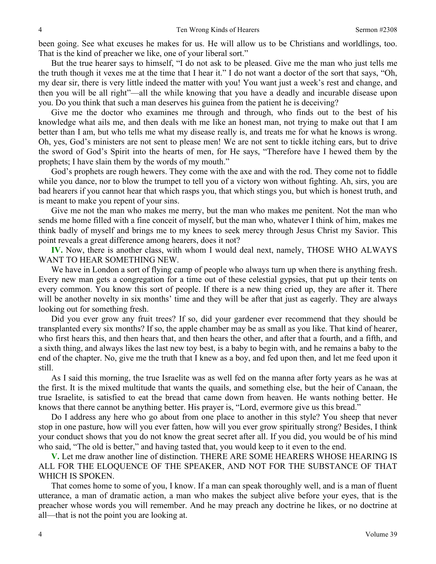been going. See what excuses he makes for us. He will allow us to be Christians and worldlings, too. That is the kind of preacher we like, one of your liberal sort."

But the true hearer says to himself, "I do not ask to be pleased. Give me the man who just tells me the truth though it vexes me at the time that I hear it." I do not want a doctor of the sort that says, "Oh, my dear sir, there is very little indeed the matter with you! You want just a week's rest and change, and then you will be all right"—all the while knowing that you have a deadly and incurable disease upon you. Do you think that such a man deserves his guinea from the patient he is deceiving?

Give me the doctor who examines me through and through, who finds out to the best of his knowledge what ails me, and then deals with me like an honest man, not trying to make out that I am better than I am, but who tells me what my disease really is, and treats me for what he knows is wrong. Oh, yes, God's ministers are not sent to please men! We are not sent to tickle itching ears, but to drive the sword of God's Spirit into the hearts of men, for He says, "Therefore have I hewed them by the prophets; I have slain them by the words of my mouth."

God's prophets are rough hewers. They come with the axe and with the rod. They come not to fiddle while you dance, nor to blow the trumpet to tell you of a victory won without fighting. Ah, sirs, you are bad hearers if you cannot hear that which rasps you, that which stings you, but which is honest truth, and is meant to make you repent of your sins.

Give me not the man who makes me merry, but the man who makes me penitent. Not the man who sends me home filled with a fine conceit of myself, but the man who, whatever I think of him, makes me think badly of myself and brings me to my knees to seek mercy through Jesus Christ my Savior. This point reveals a great difference among hearers, does it not?

**IV.** Now, there is another class, with whom I would deal next, namely, THOSE WHO ALWAYS WANT TO HEAR SOMETHING NEW.

We have in London a sort of flying camp of people who always turn up when there is anything fresh. Every new man gets a congregation for a time out of these celestial gypsies, that put up their tents on every common. You know this sort of people. If there is a new thing cried up, they are after it. There will be another novelty in six months' time and they will be after that just as eagerly. They are always looking out for something fresh.

Did you ever grow any fruit trees? If so, did your gardener ever recommend that they should be transplanted every six months? If so, the apple chamber may be as small as you like. That kind of hearer, who first hears this, and then hears that, and then hears the other, and after that a fourth, and a fifth, and a sixth thing, and always likes the last new toy best, is a baby to begin with, and he remains a baby to the end of the chapter. No, give me the truth that I knew as a boy, and fed upon then, and let me feed upon it still.

As I said this morning, the true Israelite was as well fed on the manna after forty years as he was at the first. It is the mixed multitude that wants the quails, and something else, but the heir of Canaan, the true Israelite, is satisfied to eat the bread that came down from heaven. He wants nothing better. He knows that there cannot be anything better. His prayer is, "Lord, evermore give us this bread."

Do I address any here who go about from one place to another in this style? You sheep that never stop in one pasture, how will you ever fatten, how will you ever grow spiritually strong? Besides, I think your conduct shows that you do not know the great secret after all. If you did, you would be of his mind who said, "The old is better," and having tasted that, you would keep to it even to the end.

**V.** Let me draw another line of distinction. THERE ARE SOME HEARERS WHOSE HEARING IS ALL FOR THE ELOQUENCE OF THE SPEAKER, AND NOT FOR THE SUBSTANCE OF THAT WHICH IS SPOKEN.

That comes home to some of you, I know. If a man can speak thoroughly well, and is a man of fluent utterance, a man of dramatic action, a man who makes the subject alive before your eyes, that is the preacher whose words you will remember. And he may preach any doctrine he likes, or no doctrine at all—that is not the point you are looking at.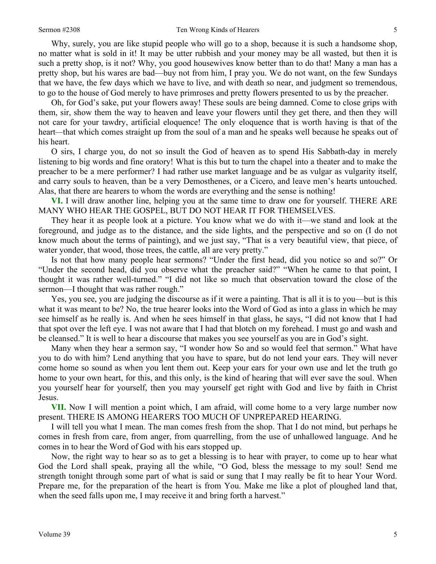Why, surely, you are like stupid people who will go to a shop, because it is such a handsome shop, no matter what is sold in it! It may be utter rubbish and your money may be all wasted, but then it is

such a pretty shop, is it not? Why, you good housewives know better than to do that! Many a man has a pretty shop, but his wares are bad—buy not from him, I pray you. We do not want, on the few Sundays that we have, the few days which we have to live, and with death so near, and judgment so tremendous, to go to the house of God merely to have primroses and pretty flowers presented to us by the preacher.

Oh, for God's sake, put your flowers away! These souls are being damned. Come to close grips with them, sir, show them the way to heaven and leave your flowers until they get there, and then they will not care for your tawdry, artificial eloquence! The only eloquence that is worth having is that of the heart*—*that which comes straight up from the soul of a man and he speaks well because he speaks out of his heart.

O sirs, I charge you, do not so insult the God of heaven as to spend His Sabbath-day in merely listening to big words and fine oratory! What is this but to turn the chapel into a theater and to make the preacher to be a mere performer? I had rather use market language and be as vulgar as vulgarity itself, and carry souls to heaven, than be a very Demosthenes, or a Cicero, and leave men's hearts untouched. Alas, that there are hearers to whom the words are everything and the sense is nothing!

**VI.** I will draw another line, helping you at the same time to draw one for yourself. THERE ARE MANY WHO HEAR THE GOSPEL, BUT DO NOT HEAR IT FOR THEMSELVES.

They hear it as people look at a picture. You know what we do with it—we stand and look at the foreground, and judge as to the distance, and the side lights, and the perspective and so on (I do not know much about the terms of painting), and we just say, "That is a very beautiful view, that piece, of water yonder, that wood, those trees, the cattle, all are very pretty."

Is not that how many people hear sermons? "Under the first head, did you notice so and so?" Or "Under the second head, did you observe what the preacher said?" "When he came to that point, I thought it was rather well-turned." "I did not like so much that observation toward the close of the sermon—I thought that was rather rough."

Yes, you see, you are judging the discourse as if it were a painting. That is all it is to you—but is this what it was meant to be? No, the true hearer looks into the Word of God as into a glass in which he may see himself as he really is. And when he sees himself in that glass, he says, "I did not know that I had that spot over the left eye. I was not aware that I had that blotch on my forehead. I must go and wash and be cleansed." It is well to hear a discourse that makes you see yourself as you are in God's sight.

Many when they hear a sermon say, "I wonder how So and so would feel that sermon." What have you to do with him? Lend anything that you have to spare, but do not lend your ears. They will never come home so sound as when you lent them out. Keep your ears for your own use and let the truth go home to your own heart, for this, and this only, is the kind of hearing that will ever save the soul. When you yourself hear for yourself, then you may yourself get right with God and live by faith in Christ Jesus.

**VII.** Now I will mention a point which, I am afraid, will come home to a very large number now present. THERE IS AMONG HEARERS TOO MUCH OF UNPREPARED HEARING.

I will tell you what I mean. The man comes fresh from the shop. That I do not mind, but perhaps he comes in fresh from care, from anger, from quarrelling, from the use of unhallowed language. And he comes in to hear the Word of God with his ears stopped up.

Now, the right way to hear so as to get a blessing is to hear with prayer, to come up to hear what God the Lord shall speak, praying all the while, "O God, bless the message to my soul! Send me strength tonight through some part of what is said or sung that I may really be fit to hear Your Word. Prepare me, for the preparation of the heart is from You. Make me like a plot of ploughed land that, when the seed falls upon me, I may receive it and bring forth a harvest."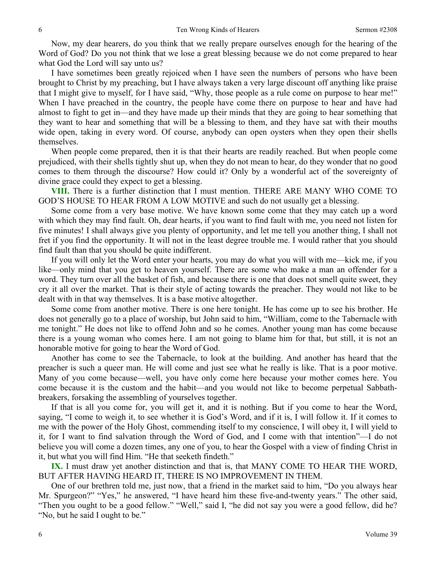Now, my dear hearers, do you think that we really prepare ourselves enough for the hearing of the Word of God? Do you not think that we lose a great blessing because we do not come prepared to hear what God the Lord will say unto us?

I have sometimes been greatly rejoiced when I have seen the numbers of persons who have been brought to Christ by my preaching, but I have always taken a very large discount off anything like praise that I might give to myself, for I have said, "Why, those people as a rule come on purpose to hear me!" When I have preached in the country, the people have come there on purpose to hear and have had almost to fight to get in—and they have made up their minds that they are going to hear something that they want to hear and something that will be a blessing to them, and they have sat with their mouths wide open, taking in every word. Of course, anybody can open oysters when they open their shells themselves.

When people come prepared, then it is that their hearts are readily reached. But when people come prejudiced, with their shells tightly shut up, when they do not mean to hear, do they wonder that no good comes to them through the discourse? How could it? Only by a wonderful act of the sovereignty of divine grace could they expect to get a blessing.

**VIII.** There is a further distinction that I must mention. THERE ARE MANY WHO COME TO GOD'S HOUSE TO HEAR FROM A LOW MOTIVE and such do not usually get a blessing.

Some come from a very base motive. We have known some come that they may catch up a word with which they may find fault. Oh, dear hearts, if you want to find fault with me, you need not listen for five minutes! I shall always give you plenty of opportunity, and let me tell you another thing, I shall not fret if you find the opportunity. It will not in the least degree trouble me. I would rather that you should find fault than that you should be quite indifferent.

If you will only let the Word enter your hearts, you may do what you will with me—kick me, if you like—only mind that you get to heaven yourself. There are some who make a man an offender for a word. They turn over all the basket of fish, and because there is one that does not smell quite sweet, they cry it all over the market. That is their style of acting towards the preacher. They would not like to be dealt with in that way themselves. It is a base motive altogether.

Some come from another motive. There is one here tonight. He has come up to see his brother. He does not generally go to a place of worship, but John said to him, "William, come to the Tabernacle with me tonight." He does not like to offend John and so he comes. Another young man has come because there is a young woman who comes here. I am not going to blame him for that, but still, it is not an honorable motive for going to hear the Word of God.

Another has come to see the Tabernacle, to look at the building. And another has heard that the preacher is such a queer man. He will come and just see what he really is like. That is a poor motive. Many of you come because—well, you have only come here because your mother comes here. You come because it is the custom and the habit—and you would not like to become perpetual Sabbathbreakers, forsaking the assembling of yourselves together.

If that is all you come for, you will get it, and it is nothing. But if you come to hear the Word, saying, "I come to weigh it, to see whether it is God's Word, and if it is, I will follow it. If it comes to me with the power of the Holy Ghost, commending itself to my conscience, I will obey it, I will yield to it, for I want to find salvation through the Word of God, and I come with that intention"—I do not believe you will come a dozen times, any one of you, to hear the Gospel with a view of finding Christ in it, but what you will find Him. "He that seeketh findeth."

**IX.** I must draw yet another distinction and that is, that MANY COME TO HEAR THE WORD, BUT AFTER HAVING HEARD IT, THERE IS NO IMPROVEMENT IN THEM.

One of our brethren told me, just now, that a friend in the market said to him, "Do you always hear Mr. Spurgeon?" "Yes," he answered, "I have heard him these five-and-twenty years." The other said, "Then you ought to be a good fellow." "Well," said I, "he did not say you were a good fellow, did he? "No, but he said I ought to be."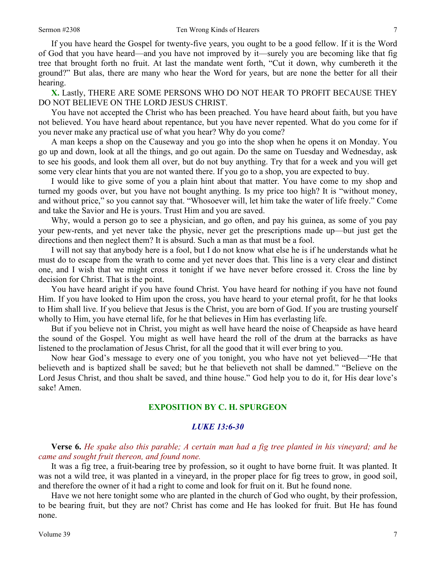If you have heard the Gospel for twenty-five years, you ought to be a good fellow. If it is the Word of God that you have heard—and you have not improved by it—surely you are becoming like that fig tree that brought forth no fruit. At last the mandate went forth, "Cut it down, why cumbereth it the ground?" But alas, there are many who hear the Word for years, but are none the better for all their hearing.

**X.** Lastly, THERE ARE SOME PERSONS WHO DO NOT HEAR TO PROFIT BECAUSE THEY DO NOT BELIEVE ON THE LORD JESUS CHRIST.

You have not accepted the Christ who has been preached. You have heard about faith, but you have not believed. You have heard about repentance, but you have never repented. What do you come for if you never make any practical use of what you hear? Why do you come?

A man keeps a shop on the Causeway and you go into the shop when he opens it on Monday. You go up and down, look at all the things, and go out again. Do the same on Tuesday and Wednesday, ask to see his goods, and look them all over, but do not buy anything. Try that for a week and you will get some very clear hints that you are not wanted there. If you go to a shop, you are expected to buy.

I would like to give some of you a plain hint about that matter. You have come to my shop and turned my goods over, but you have not bought anything. Is my price too high? It is "without money, and without price," so you cannot say that. "Whosoever will, let him take the water of life freely." Come and take the Savior and He is yours. Trust Him and you are saved.

Why, would a person go to see a physician, and go often, and pay his guinea, as some of you pay your pew-rents, and yet never take the physic, never get the prescriptions made up—but just get the directions and then neglect them? It is absurd. Such a man as that must be a fool.

I will not say that anybody here is a fool, but I do not know what else he is if he understands what he must do to escape from the wrath to come and yet never does that. This line is a very clear and distinct one, and I wish that we might cross it tonight if we have never before crossed it. Cross the line by decision for Christ. That is the point.

You have heard aright if you have found Christ. You have heard for nothing if you have not found Him. If you have looked to Him upon the cross, you have heard to your eternal profit, for he that looks to Him shall live. If you believe that Jesus is the Christ, you are born of God. If you are trusting yourself wholly to Him, you have eternal life, for he that believes in Him has everlasting life.

But if you believe not in Christ, you might as well have heard the noise of Cheapside as have heard the sound of the Gospel. You might as well have heard the roll of the drum at the barracks as have listened to the proclamation of Jesus Christ, for all the good that it will ever bring to you.

Now hear God's message to every one of you tonight, you who have not yet believed—"He that believeth and is baptized shall be saved; but he that believeth not shall be damned." "Believe on the Lord Jesus Christ, and thou shalt be saved, and thine house." God help you to do it, for His dear love's sake! Amen.

#### **EXPOSITION BY C. H. SPURGEON**

#### *LUKE 13:6-30*

**Verse 6.** *He spake also this parable; A certain man had a fig tree planted in his vineyard; and he came and sought fruit thereon, and found none.* 

It was a fig tree, a fruit-bearing tree by profession, so it ought to have borne fruit. It was planted. It was not a wild tree, it was planted in a vineyard, in the proper place for fig trees to grow, in good soil, and therefore the owner of it had a right to come and look for fruit on it. But he found none.

Have we not here tonight some who are planted in the church of God who ought, by their profession, to be bearing fruit, but they are not? Christ has come and He has looked for fruit. But He has found none.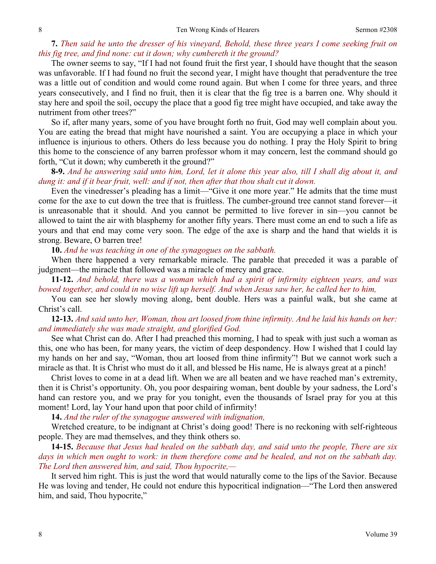## **7.** *Then said he unto the dresser of his vineyard, Behold, these three years I come seeking fruit on this fig tree, and find none: cut it down; why cumbereth it the ground?*

The owner seems to say, "If I had not found fruit the first year, I should have thought that the season was unfavorable. If I had found no fruit the second year, I might have thought that peradventure the tree was a little out of condition and would come round again. But when I come for three years, and three years consecutively, and I find no fruit, then it is clear that the fig tree is a barren one. Why should it stay here and spoil the soil, occupy the place that a good fig tree might have occupied, and take away the nutriment from other trees?"

So if, after many years, some of you have brought forth no fruit, God may well complain about you. You are eating the bread that might have nourished a saint. You are occupying a place in which your influence is injurious to others. Others do less because you do nothing. I pray the Holy Spirit to bring this home to the conscience of any barren professor whom it may concern, lest the command should go forth, "Cut it down; why cumbereth it the ground?"

**8-9.** *And he answering said unto him, Lord, let it alone this year also, till I shall dig about it, and dung it: and if it bear fruit, well: and if not, then after that thou shalt cut it down.* 

Even the vinedresser's pleading has a limit—"Give it one more year." He admits that the time must come for the axe to cut down the tree that is fruitless. The cumber-ground tree cannot stand forever—it is unreasonable that it should. And you cannot be permitted to live forever in sin—you cannot be allowed to taint the air with blasphemy for another fifty years. There must come an end to such a life as yours and that end may come very soon. The edge of the axe is sharp and the hand that wields it is strong. Beware, O barren tree!

**10.** *And he was teaching in one of the synagogues on the sabbath.* 

When there happened a very remarkable miracle. The parable that preceded it was a parable of judgment—the miracle that followed was a miracle of mercy and grace.

**11-12.** *And behold, there was a woman which had a spirit of infirmity eighteen years, and was bowed together, and could in no wise lift up herself. And when Jesus saw her, he called her to him,* 

You can see her slowly moving along, bent double. Hers was a painful walk, but she came at Christ's call.

**12-13.** *And said unto her, Woman, thou art loosed from thine infirmity. And he laid his hands on her: and immediately she was made straight, and glorified God.* 

See what Christ can do. After I had preached this morning, I had to speak with just such a woman as this, one who has been, for many years, the victim of deep despondency. How I wished that I could lay my hands on her and say, "Woman, thou art loosed from thine infirmity"! But we cannot work such a miracle as that. It is Christ who must do it all, and blessed be His name, He is always great at a pinch!

Christ loves to come in at a dead lift. When we are all beaten and we have reached man's extremity, then it is Christ's opportunity. Oh, you poor despairing woman, bent double by your sadness, the Lord's hand can restore you, and we pray for you tonight, even the thousands of Israel pray for you at this moment! Lord, lay Your hand upon that poor child of infirmity!

**14.** *And the ruler of the synagogue answered with indignation,* 

Wretched creature, to be indignant at Christ's doing good! There is no reckoning with self-righteous people. They are mad themselves, and they think others so.

**14-15.** *Because that Jesus had healed on the sabbath day, and said unto the people, There are six days in which men ought to work: in them therefore come and be healed, and not on the sabbath day. The Lord then answered him, and said, Thou hypocrite,—* 

It served him right. This is just the word that would naturally come to the lips of the Savior. Because He was loving and tender, He could not endure this hypocritical indignation—"The Lord then answered him, and said, Thou hypocrite,"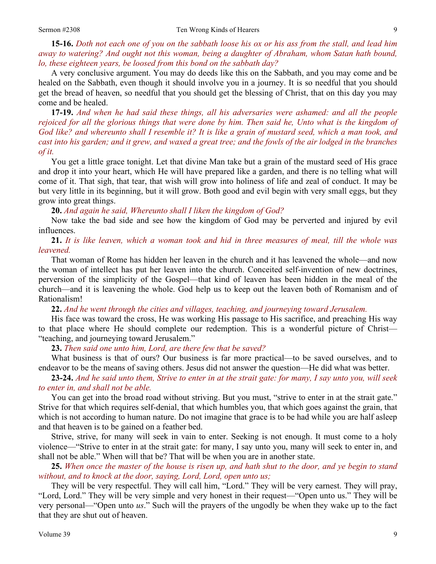**15-16.** *Doth not each one of you on the sabbath loose his ox or his ass from the stall, and lead him away to watering? And ought not this woman, being a daughter of Abraham, whom Satan hath bound, lo, these eighteen years, be loosed from this bond on the sabbath day?* 

A very conclusive argument. You may do deeds like this on the Sabbath, and you may come and be healed on the Sabbath, even though it should involve you in a journey. It is so needful that you should get the bread of heaven, so needful that you should get the blessing of Christ, that on this day you may come and be healed.

**17-19.** *And when he had said these things, all his adversaries were ashamed: and all the people*  rejoiced for all the glorious things that were done by him. Then said he, Unto what is the kingdom of *God like? and whereunto shall I resemble it? It is like a grain of mustard seed, which a man took, and cast into his garden; and it grew, and waxed a great tree; and the fowls of the air lodged in the branches of it.* 

You get a little grace tonight. Let that divine Man take but a grain of the mustard seed of His grace and drop it into your heart, which He will have prepared like a garden, and there is no telling what will come of it. That sigh, that tear, that wish will grow into holiness of life and zeal of conduct. It may be but very little in its beginning, but it will grow. Both good and evil begin with very small eggs, but they grow into great things.

**20.** *And again he said, Whereunto shall I liken the kingdom of God?* 

Now take the bad side and see how the kingdom of God may be perverted and injured by evil influences.

**21.** *It is like leaven, which a woman took and hid in three measures of meal, till the whole was leavened.* 

That woman of Rome has hidden her leaven in the church and it has leavened the whole—and now the woman of intellect has put her leaven into the church. Conceited self-invention of new doctrines, perversion of the simplicity of the Gospel—that kind of leaven has been hidden in the meal of the church—and it is leavening the whole. God help us to keep out the leaven both of Romanism and of Rationalism!

**22.** *And he went through the cities and villages, teaching, and journeying toward Jerusalem.* 

His face was toward the cross, He was working His passage to His sacrifice, and preaching His way to that place where He should complete our redemption. This is a wonderful picture of Christ— "teaching, and journeying toward Jerusalem."

**23.** *Then said one unto him, Lord, are there few that be saved?* 

What business is that of ours? Our business is far more practical—to be saved ourselves, and to endeavor to be the means of saving others. Jesus did not answer the question—He did what was better.

**23-24.** *And he said unto them, Strive to enter in at the strait gate: for many, I say unto you, will seek to enter in, and shall not be able.* 

You can get into the broad road without striving. But you must, "strive to enter in at the strait gate." Strive for that which requires self-denial, that which humbles you, that which goes against the grain, that which is not according to human nature. Do not imagine that grace is to be had while you are half asleep and that heaven is to be gained on a feather bed.

Strive, strive, for many will seek in vain to enter. Seeking is not enough. It must come to a holy violence—"Strive to enter in at the strait gate: for many, I say unto you, many will seek to enter in, and shall not be able." When will that be? That will be when you are in another state.

**25.** *When once the master of the house is risen up, and hath shut to the door, and ye begin to stand without, and to knock at the door, saying, Lord, Lord, open unto us;* 

They will be very respectful. They will call him, "Lord." They will be very earnest. They will pray, "Lord, Lord." They will be very simple and very honest in their request—"Open unto us." They will be very personal—"Open unto *us*." Such will the prayers of the ungodly be when they wake up to the fact that they are shut out of heaven.